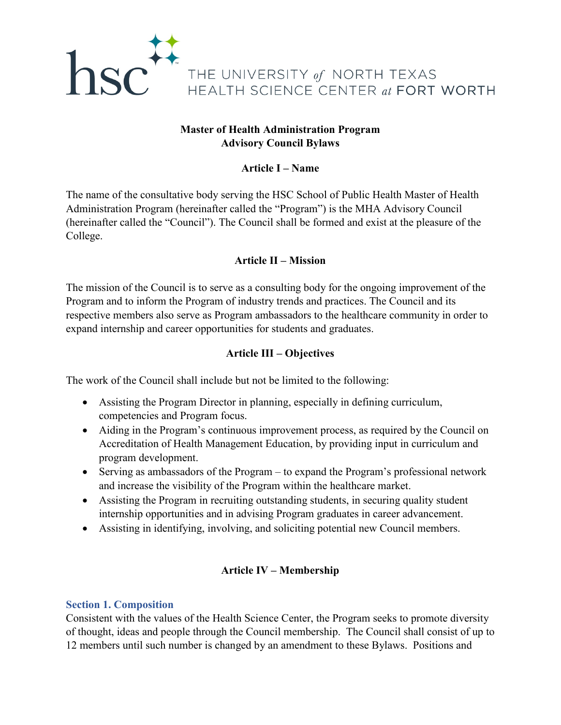

# **Master of Health Administration Program Advisory Council Bylaws**

# **Article I – Name**

The name of the consultative body serving the HSC School of Public Health Master of Health Administration Program (hereinafter called the "Program") is the MHA Advisory Council (hereinafter called the "Council"). The Council shall be formed and exist at the pleasure of the College.

## **Article II – Mission**

The mission of the Council is to serve as a consulting body for the ongoing improvement of the Program and to inform the Program of industry trends and practices. The Council and its respective members also serve as Program ambassadors to the healthcare community in order to expand internship and career opportunities for students and graduates.

## **Article III – Objectives**

The work of the Council shall include but not be limited to the following:

- Assisting the Program Director in planning, especially in defining curriculum, competencies and Program focus.
- Aiding in the Program's continuous improvement process, as required by the Council on Accreditation of Health Management Education, by providing input in curriculum and program development.
- Serving as ambassadors of the Program to expand the Program's professional network and increase the visibility of the Program within the healthcare market.
- Assisting the Program in recruiting outstanding students, in securing quality student internship opportunities and in advising Program graduates in career advancement.
- Assisting in identifying, involving, and soliciting potential new Council members.

# **Article IV – Membership**

## **Section 1. Composition**

Consistent with the values of the Health Science Center, the Program seeks to promote diversity of thought, ideas and people through the Council membership. The Council shall consist of up to 12 members until such number is changed by an amendment to these Bylaws. Positions and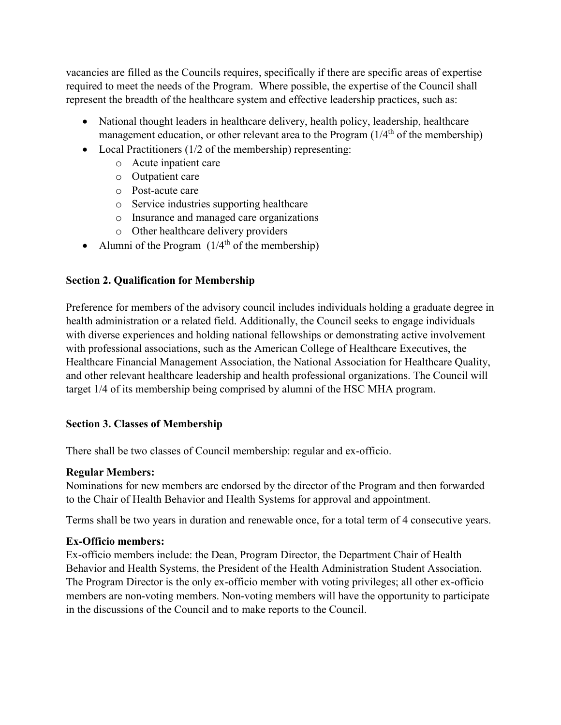vacancies are filled as the Councils requires, specifically if there are specific areas of expertise required to meet the needs of the Program. Where possible, the expertise of the Council shall represent the breadth of the healthcare system and effective leadership practices, such as:

- National thought leaders in healthcare delivery, health policy, leadership, healthcare management education, or other relevant area to the Program  $(1/4<sup>th</sup>$  of the membership)
- Local Practitioners (1/2 of the membership) representing:
	- o Acute inpatient care
	- o Outpatient care
	- o Post-acute care
	- o Service industries supporting healthcare
	- o Insurance and managed care organizations
	- o Other healthcare delivery providers
- Alumni of the Program  $(1/4<sup>th</sup>$  of the membership)

## **Section 2. Qualification for Membership**

Preference for members of the advisory council includes individuals holding a graduate degree in health administration or a related field. Additionally, the Council seeks to engage individuals with diverse experiences and holding national fellowships or demonstrating active involvement with professional associations, such as the American College of Healthcare Executives, the Healthcare Financial Management Association, the National Association for Healthcare Quality, and other relevant healthcare leadership and health professional organizations. The Council will target 1/4 of its membership being comprised by alumni of the HSC MHA program.

## **Section 3. Classes of Membership**

There shall be two classes of Council membership: regular and ex-officio.

## **Regular Members:**

Nominations for new members are endorsed by the director of the Program and then forwarded to the Chair of Health Behavior and Health Systems for approval and appointment.

Terms shall be two years in duration and renewable once, for a total term of 4 consecutive years.

# **Ex-Officio members:**

Ex-officio members include: the Dean, Program Director, the Department Chair of Health Behavior and Health Systems, the President of the Health Administration Student Association. The Program Director is the only ex-officio member with voting privileges; all other ex-officio members are non-voting members. Non-voting members will have the opportunity to participate in the discussions of the Council and to make reports to the Council.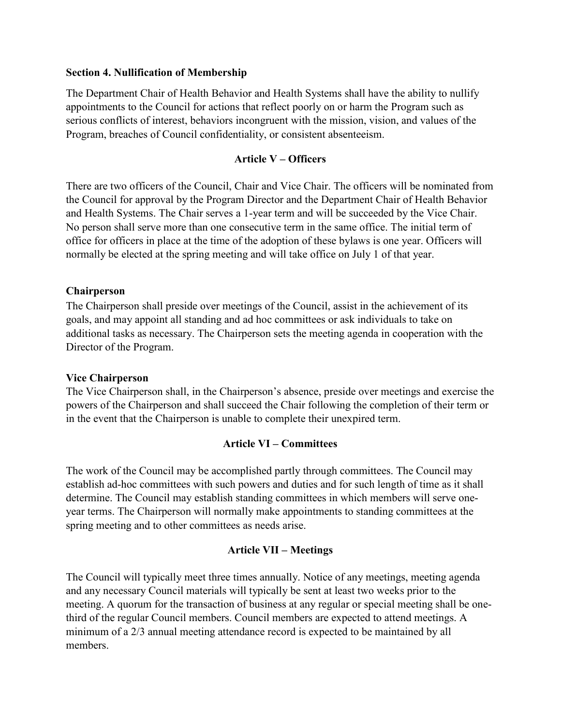#### **Section 4. Nullification of Membership**

The Department Chair of Health Behavior and Health Systems shall have the ability to nullify appointments to the Council for actions that reflect poorly on or harm the Program such as serious conflicts of interest, behaviors incongruent with the mission, vision, and values of the Program, breaches of Council confidentiality, or consistent absenteeism.

### **Article V – Officers**

There are two officers of the Council, Chair and Vice Chair. The officers will be nominated from the Council for approval by the Program Director and the Department Chair of Health Behavior and Health Systems. The Chair serves a 1-year term and will be succeeded by the Vice Chair. No person shall serve more than one consecutive term in the same office. The initial term of office for officers in place at the time of the adoption of these bylaws is one year. Officers will normally be elected at the spring meeting and will take office on July 1 of that year.

#### **Chairperson**

The Chairperson shall preside over meetings of the Council, assist in the achievement of its goals, and may appoint all standing and ad hoc committees or ask individuals to take on additional tasks as necessary. The Chairperson sets the meeting agenda in cooperation with the Director of the Program.

#### **Vice Chairperson**

The Vice Chairperson shall, in the Chairperson's absence, preside over meetings and exercise the powers of the Chairperson and shall succeed the Chair following the completion of their term or in the event that the Chairperson is unable to complete their unexpired term.

### **Article VI – Committees**

The work of the Council may be accomplished partly through committees. The Council may establish ad-hoc committees with such powers and duties and for such length of time as it shall determine. The Council may establish standing committees in which members will serve oneyear terms. The Chairperson will normally make appointments to standing committees at the spring meeting and to other committees as needs arise.

#### **Article VII – Meetings**

The Council will typically meet three times annually. Notice of any meetings, meeting agenda and any necessary Council materials will typically be sent at least two weeks prior to the meeting. A quorum for the transaction of business at any regular or special meeting shall be onethird of the regular Council members. Council members are expected to attend meetings. A minimum of a 2/3 annual meeting attendance record is expected to be maintained by all members.